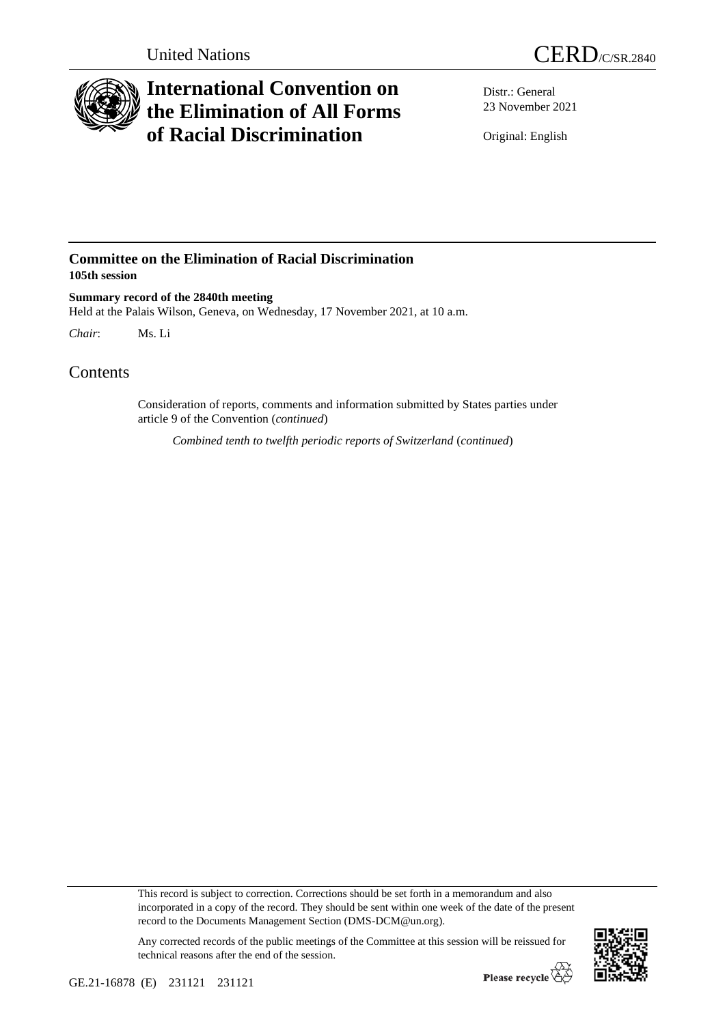

## **International Convention on the Elimination of All Forms of Racial Discrimination**

Distr.: General 23 November 2021

Original: English

## **Committee on the Elimination of Racial Discrimination 105th session**

**Summary record of the 2840th meeting** Held at the Palais Wilson, Geneva, on Wednesday, 17 November 2021, at 10 a.m.

*Chair*: Ms. Li

## Contents

Consideration of reports, comments and information submitted by States parties under article 9 of the Convention (*continued*)

*Combined tenth to twelfth periodic reports of Switzerland* (*continued*)

This record is subject to correction. Corrections should be set forth in a memorandum and also incorporated in a copy of the record. They should be sent within one week of the date of the present record to the Documents Management Section (DMS-DCM@un.org).

Any corrected records of the public meetings of the Committee at this session will be reissued for technical reasons after the end of the session.

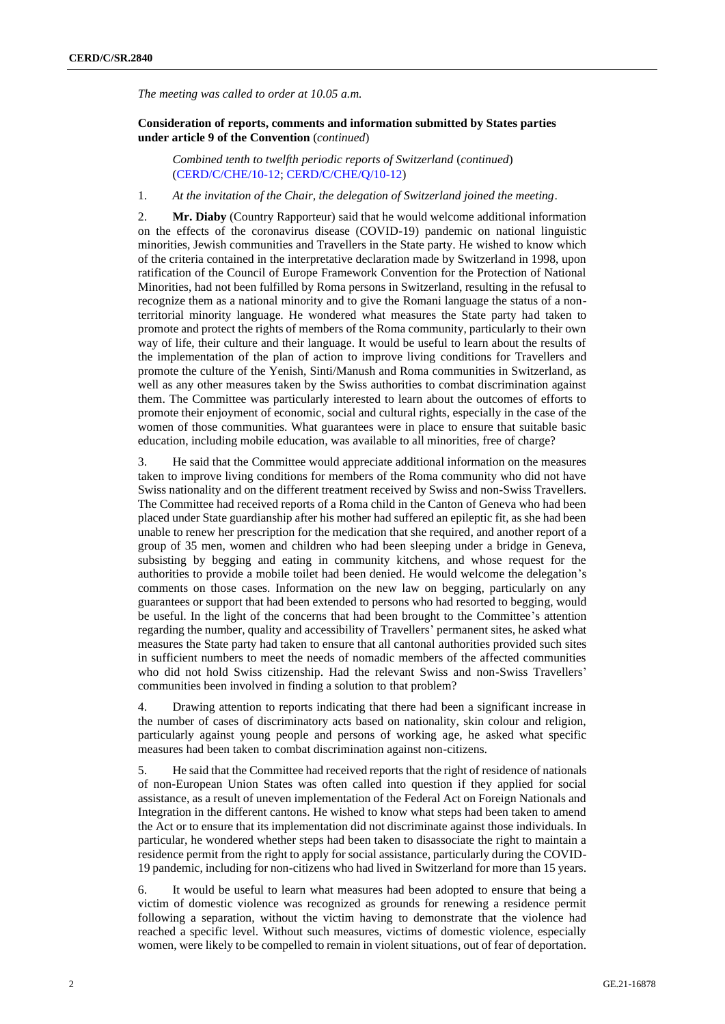*The meeting was called to order at 10.05 a.m.*

**Consideration of reports, comments and information submitted by States parties under article 9 of the Convention** (*continued*)

*Combined tenth to twelfth periodic reports of Switzerland* (*continued*) [\(CERD/C/CHE/10-12;](http://undocs.org/en/CERD/C/CHE/10-12) [CERD/C/CHE/Q/10-12\)](http://undocs.org/en/CERD/C/CHE/Q/10-12)

1. *At the invitation of the Chair, the delegation of Switzerland joined the meeting*.

2. **Mr. Diaby** (Country Rapporteur) said that he would welcome additional information on the effects of the coronavirus disease (COVID-19) pandemic on national linguistic minorities, Jewish communities and Travellers in the State party. He wished to know which of the criteria contained in the interpretative declaration made by Switzerland in 1998, upon ratification of the Council of Europe Framework Convention for the Protection of National Minorities, had not been fulfilled by Roma persons in Switzerland, resulting in the refusal to recognize them as a national minority and to give the Romani language the status of a nonterritorial minority language. He wondered what measures the State party had taken to promote and protect the rights of members of the Roma community, particularly to their own way of life, their culture and their language. It would be useful to learn about the results of the implementation of the plan of action to improve living conditions for Travellers and promote the culture of the Yenish, Sinti/Manush and Roma communities in Switzerland, as well as any other measures taken by the Swiss authorities to combat discrimination against them. The Committee was particularly interested to learn about the outcomes of efforts to promote their enjoyment of economic, social and cultural rights, especially in the case of the women of those communities. What guarantees were in place to ensure that suitable basic education, including mobile education, was available to all minorities, free of charge?

3. He said that the Committee would appreciate additional information on the measures taken to improve living conditions for members of the Roma community who did not have Swiss nationality and on the different treatment received by Swiss and non-Swiss Travellers. The Committee had received reports of a Roma child in the Canton of Geneva who had been placed under State guardianship after his mother had suffered an epileptic fit, as she had been unable to renew her prescription for the medication that she required, and another report of a group of 35 men, women and children who had been sleeping under a bridge in Geneva, subsisting by begging and eating in community kitchens, and whose request for the authorities to provide a mobile toilet had been denied. He would welcome the delegation's comments on those cases. Information on the new law on begging, particularly on any guarantees or support that had been extended to persons who had resorted to begging, would be useful. In the light of the concerns that had been brought to the Committee's attention regarding the number, quality and accessibility of Travellers' permanent sites, he asked what measures the State party had taken to ensure that all cantonal authorities provided such sites in sufficient numbers to meet the needs of nomadic members of the affected communities who did not hold Swiss citizenship. Had the relevant Swiss and non-Swiss Travellers' communities been involved in finding a solution to that problem?

4. Drawing attention to reports indicating that there had been a significant increase in the number of cases of discriminatory acts based on nationality, skin colour and religion, particularly against young people and persons of working age, he asked what specific measures had been taken to combat discrimination against non-citizens.

5. He said that the Committee had received reports that the right of residence of nationals of non-European Union States was often called into question if they applied for social assistance, as a result of uneven implementation of the Federal Act on Foreign Nationals and Integration in the different cantons. He wished to know what steps had been taken to amend the Act or to ensure that its implementation did not discriminate against those individuals. In particular, he wondered whether steps had been taken to disassociate the right to maintain a residence permit from the right to apply for social assistance, particularly during the COVID-19 pandemic, including for non-citizens who had lived in Switzerland for more than 15 years.

6. It would be useful to learn what measures had been adopted to ensure that being a victim of domestic violence was recognized as grounds for renewing a residence permit following a separation, without the victim having to demonstrate that the violence had reached a specific level. Without such measures, victims of domestic violence, especially women, were likely to be compelled to remain in violent situations, out of fear of deportation.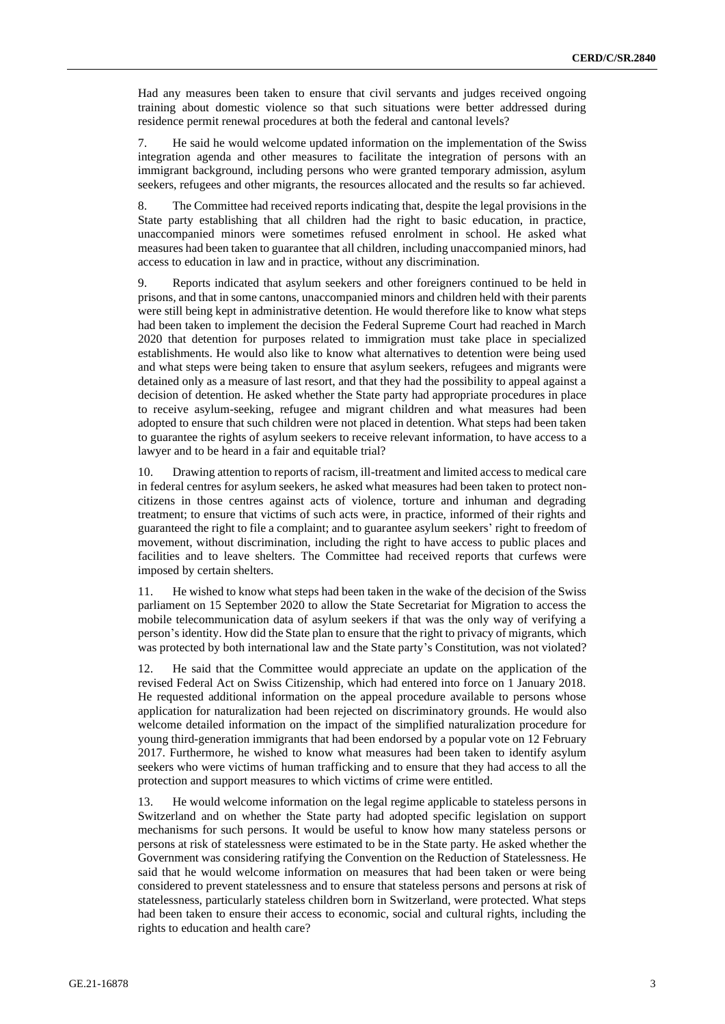Had any measures been taken to ensure that civil servants and judges received ongoing training about domestic violence so that such situations were better addressed during residence permit renewal procedures at both the federal and cantonal levels?

7. He said he would welcome updated information on the implementation of the Swiss integration agenda and other measures to facilitate the integration of persons with an immigrant background, including persons who were granted temporary admission, asylum seekers, refugees and other migrants, the resources allocated and the results so far achieved.

8. The Committee had received reports indicating that, despite the legal provisions in the State party establishing that all children had the right to basic education, in practice, unaccompanied minors were sometimes refused enrolment in school. He asked what measures had been taken to guarantee that all children, including unaccompanied minors, had access to education in law and in practice, without any discrimination.

9. Reports indicated that asylum seekers and other foreigners continued to be held in prisons, and that in some cantons, unaccompanied minors and children held with their parents were still being kept in administrative detention. He would therefore like to know what steps had been taken to implement the decision the Federal Supreme Court had reached in March 2020 that detention for purposes related to immigration must take place in specialized establishments. He would also like to know what alternatives to detention were being used and what steps were being taken to ensure that asylum seekers, refugees and migrants were detained only as a measure of last resort, and that they had the possibility to appeal against a decision of detention. He asked whether the State party had appropriate procedures in place to receive asylum-seeking, refugee and migrant children and what measures had been adopted to ensure that such children were not placed in detention. What steps had been taken to guarantee the rights of asylum seekers to receive relevant information, to have access to a lawyer and to be heard in a fair and equitable trial?

10. Drawing attention to reports of racism, ill-treatment and limited access to medical care in federal centres for asylum seekers, he asked what measures had been taken to protect noncitizens in those centres against acts of violence, torture and inhuman and degrading treatment; to ensure that victims of such acts were, in practice, informed of their rights and guaranteed the right to file a complaint; and to guarantee asylum seekers' right to freedom of movement, without discrimination, including the right to have access to public places and facilities and to leave shelters. The Committee had received reports that curfews were imposed by certain shelters.

11. He wished to know what steps had been taken in the wake of the decision of the Swiss parliament on 15 September 2020 to allow the State Secretariat for Migration to access the mobile telecommunication data of asylum seekers if that was the only way of verifying a person's identity. How did the State plan to ensure that the right to privacy of migrants, which was protected by both international law and the State party's Constitution, was not violated?

12. He said that the Committee would appreciate an update on the application of the revised Federal Act on Swiss Citizenship, which had entered into force on 1 January 2018. He requested additional information on the appeal procedure available to persons whose application for naturalization had been rejected on discriminatory grounds. He would also welcome detailed information on the impact of the simplified naturalization procedure for young third-generation immigrants that had been endorsed by a popular vote on 12 February 2017. Furthermore, he wished to know what measures had been taken to identify asylum seekers who were victims of human trafficking and to ensure that they had access to all the protection and support measures to which victims of crime were entitled.

13. He would welcome information on the legal regime applicable to stateless persons in Switzerland and on whether the State party had adopted specific legislation on support mechanisms for such persons. It would be useful to know how many stateless persons or persons at risk of statelessness were estimated to be in the State party. He asked whether the Government was considering ratifying the Convention on the Reduction of Statelessness. He said that he would welcome information on measures that had been taken or were being considered to prevent statelessness and to ensure that stateless persons and persons at risk of statelessness, particularly stateless children born in Switzerland, were protected. What steps had been taken to ensure their access to economic, social and cultural rights, including the rights to education and health care?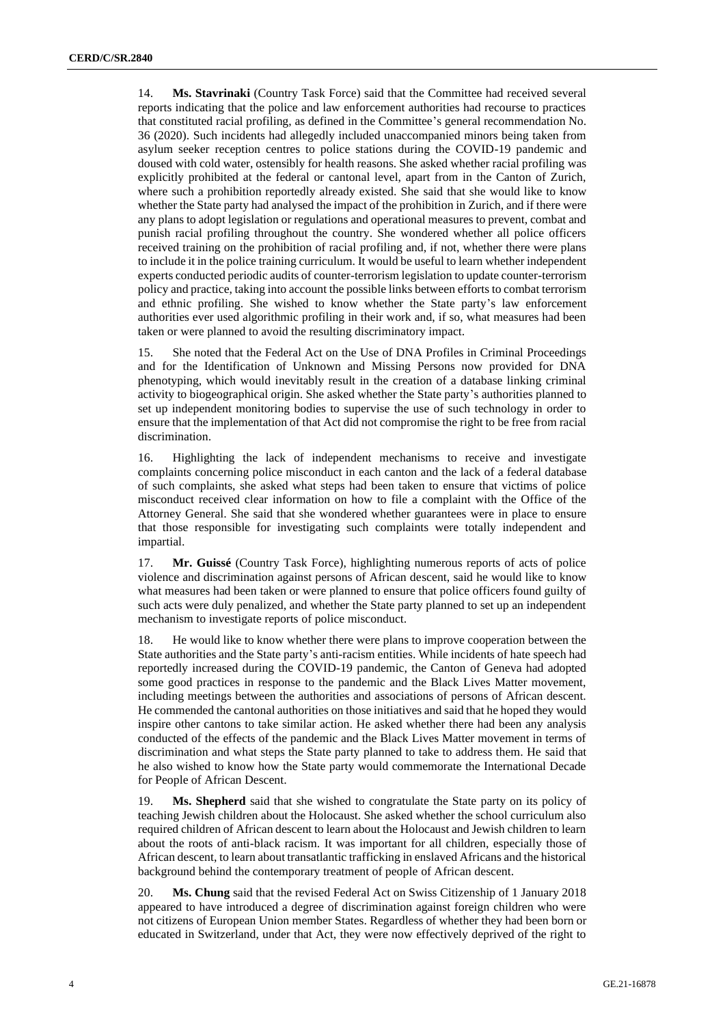14. **Ms. Stavrinaki** (Country Task Force) said that the Committee had received several reports indicating that the police and law enforcement authorities had recourse to practices that constituted racial profiling, as defined in the Committee's general recommendation No. 36 (2020). Such incidents had allegedly included unaccompanied minors being taken from asylum seeker reception centres to police stations during the COVID-19 pandemic and doused with cold water, ostensibly for health reasons. She asked whether racial profiling was explicitly prohibited at the federal or cantonal level, apart from in the Canton of Zurich, where such a prohibition reportedly already existed. She said that she would like to know whether the State party had analysed the impact of the prohibition in Zurich, and if there were any plans to adopt legislation or regulations and operational measures to prevent, combat and punish racial profiling throughout the country. She wondered whether all police officers received training on the prohibition of racial profiling and, if not, whether there were plans to include it in the police training curriculum. It would be useful to learn whether independent experts conducted periodic audits of counter-terrorism legislation to update counter-terrorism policy and practice, taking into account the possible links between efforts to combat terrorism and ethnic profiling. She wished to know whether the State party's law enforcement authorities ever used algorithmic profiling in their work and, if so, what measures had been taken or were planned to avoid the resulting discriminatory impact.

15. She noted that the Federal Act on the Use of DNA Profiles in Criminal Proceedings and for the Identification of Unknown and Missing Persons now provided for DNA phenotyping, which would inevitably result in the creation of a database linking criminal activity to biogeographical origin. She asked whether the State party's authorities planned to set up independent monitoring bodies to supervise the use of such technology in order to ensure that the implementation of that Act did not compromise the right to be free from racial discrimination.

16. Highlighting the lack of independent mechanisms to receive and investigate complaints concerning police misconduct in each canton and the lack of a federal database of such complaints, she asked what steps had been taken to ensure that victims of police misconduct received clear information on how to file a complaint with the Office of the Attorney General. She said that she wondered whether guarantees were in place to ensure that those responsible for investigating such complaints were totally independent and impartial.

17. **Mr. Guissé** (Country Task Force), highlighting numerous reports of acts of police violence and discrimination against persons of African descent, said he would like to know what measures had been taken or were planned to ensure that police officers found guilty of such acts were duly penalized, and whether the State party planned to set up an independent mechanism to investigate reports of police misconduct.

18. He would like to know whether there were plans to improve cooperation between the State authorities and the State party's anti-racism entities. While incidents of hate speech had reportedly increased during the COVID-19 pandemic, the Canton of Geneva had adopted some good practices in response to the pandemic and the Black Lives Matter movement, including meetings between the authorities and associations of persons of African descent. He commended the cantonal authorities on those initiatives and said that he hoped they would inspire other cantons to take similar action. He asked whether there had been any analysis conducted of the effects of the pandemic and the Black Lives Matter movement in terms of discrimination and what steps the State party planned to take to address them. He said that he also wished to know how the State party would commemorate the International Decade for People of African Descent.

19. **Ms. Shepherd** said that she wished to congratulate the State party on its policy of teaching Jewish children about the Holocaust. She asked whether the school curriculum also required children of African descent to learn about the Holocaust and Jewish children to learn about the roots of anti-black racism. It was important for all children, especially those of African descent, to learn about transatlantic trafficking in enslaved Africans and the historical background behind the contemporary treatment of people of African descent.

20. **Ms. Chung** said that the revised Federal Act on Swiss Citizenship of 1 January 2018 appeared to have introduced a degree of discrimination against foreign children who were not citizens of European Union member States. Regardless of whether they had been born or educated in Switzerland, under that Act, they were now effectively deprived of the right to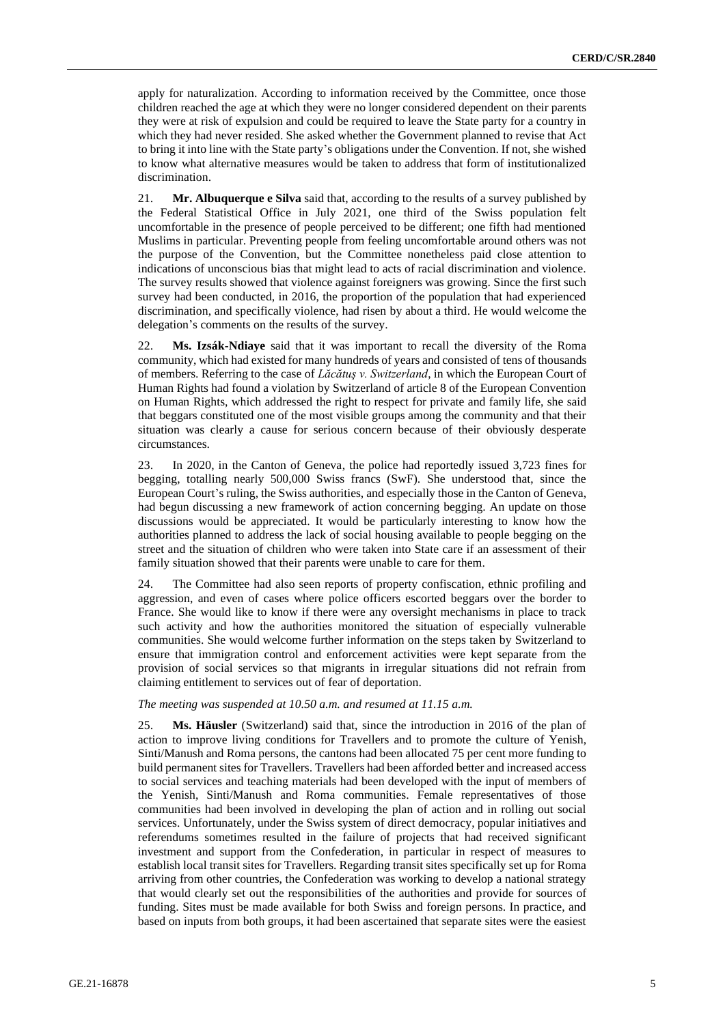apply for naturalization. According to information received by the Committee, once those children reached the age at which they were no longer considered dependent on their parents they were at risk of expulsion and could be required to leave the State party for a country in which they had never resided. She asked whether the Government planned to revise that Act to bring it into line with the State party's obligations under the Convention. If not, she wished to know what alternative measures would be taken to address that form of institutionalized discrimination.

21. **Mr. Albuquerque e Silva** said that, according to the results of a survey published by the Federal Statistical Office in July 2021, one third of the Swiss population felt uncomfortable in the presence of people perceived to be different; one fifth had mentioned Muslims in particular. Preventing people from feeling uncomfortable around others was not the purpose of the Convention, but the Committee nonetheless paid close attention to indications of unconscious bias that might lead to acts of racial discrimination and violence. The survey results showed that violence against foreigners was growing. Since the first such survey had been conducted, in 2016, the proportion of the population that had experienced discrimination, and specifically violence, had risen by about a third. He would welcome the delegation's comments on the results of the survey.

22. **Ms. Izsák-Ndiaye** said that it was important to recall the diversity of the Roma community, which had existed for many hundreds of years and consisted of tens of thousands of members. Referring to the case of *Lăcătuş v. Switzerland*, in which the European Court of Human Rights had found a violation by Switzerland of article 8 of the European Convention on Human Rights, which addressed the right to respect for private and family life, she said that beggars constituted one of the most visible groups among the community and that their situation was clearly a cause for serious concern because of their obviously desperate circumstances.

23. In 2020, in the Canton of Geneva, the police had reportedly issued 3,723 fines for begging, totalling nearly 500,000 Swiss francs (SwF). She understood that, since the European Court's ruling, the Swiss authorities, and especially those in the Canton of Geneva, had begun discussing a new framework of action concerning begging. An update on those discussions would be appreciated. It would be particularly interesting to know how the authorities planned to address the lack of social housing available to people begging on the street and the situation of children who were taken into State care if an assessment of their family situation showed that their parents were unable to care for them.

24. The Committee had also seen reports of property confiscation, ethnic profiling and aggression, and even of cases where police officers escorted beggars over the border to France. She would like to know if there were any oversight mechanisms in place to track such activity and how the authorities monitored the situation of especially vulnerable communities. She would welcome further information on the steps taken by Switzerland to ensure that immigration control and enforcement activities were kept separate from the provision of social services so that migrants in irregular situations did not refrain from claiming entitlement to services out of fear of deportation.

## *The meeting was suspended at 10.50 a.m. and resumed at 11.15 a.m.*

25. **Ms. Häusler** (Switzerland) said that, since the introduction in 2016 of the plan of action to improve living conditions for Travellers and to promote the culture of Yenish, Sinti/Manush and Roma persons, the cantons had been allocated 75 per cent more funding to build permanent sites for Travellers. Travellers had been afforded better and increased access to social services and teaching materials had been developed with the input of members of the Yenish, Sinti/Manush and Roma communities. Female representatives of those communities had been involved in developing the plan of action and in rolling out social services. Unfortunately, under the Swiss system of direct democracy, popular initiatives and referendums sometimes resulted in the failure of projects that had received significant investment and support from the Confederation, in particular in respect of measures to establish local transit sites for Travellers. Regarding transit sites specifically set up for Roma arriving from other countries, the Confederation was working to develop a national strategy that would clearly set out the responsibilities of the authorities and provide for sources of funding. Sites must be made available for both Swiss and foreign persons. In practice, and based on inputs from both groups, it had been ascertained that separate sites were the easiest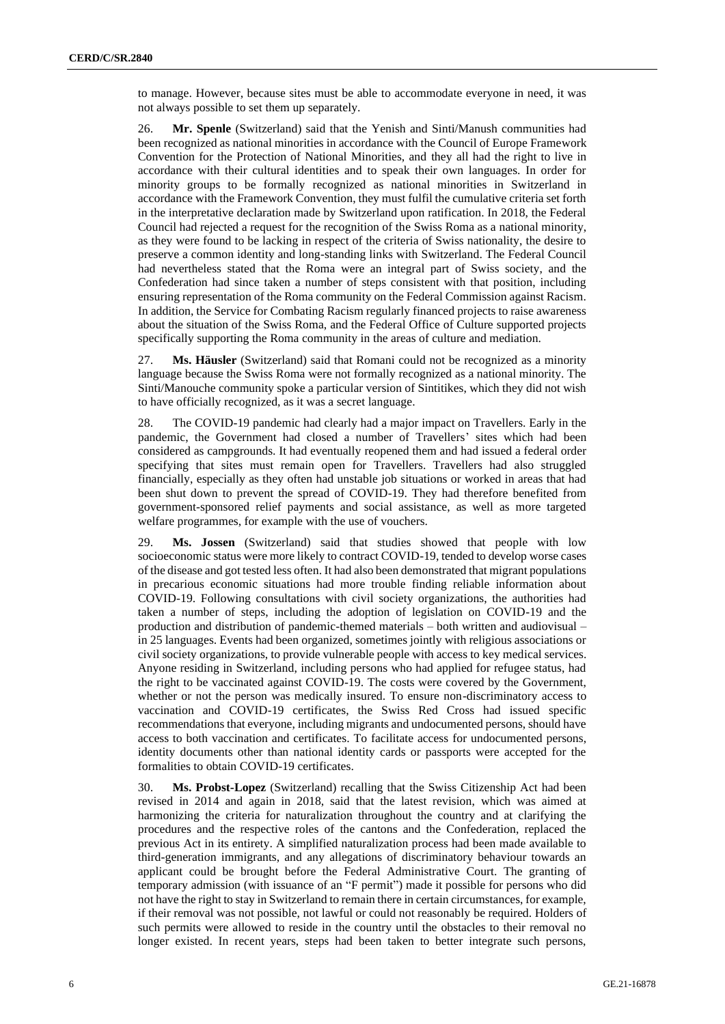to manage. However, because sites must be able to accommodate everyone in need, it was not always possible to set them up separately.

26. **Mr. Spenle** (Switzerland) said that the Yenish and Sinti/Manush communities had been recognized as national minorities in accordance with the Council of Europe Framework Convention for the Protection of National Minorities, and they all had the right to live in accordance with their cultural identities and to speak their own languages. In order for minority groups to be formally recognized as national minorities in Switzerland in accordance with the Framework Convention, they must fulfil the cumulative criteria set forth in the interpretative declaration made by Switzerland upon ratification. In 2018, the Federal Council had rejected a request for the recognition of the Swiss Roma as a national minority, as they were found to be lacking in respect of the criteria of Swiss nationality, the desire to preserve a common identity and long-standing links with Switzerland. The Federal Council had nevertheless stated that the Roma were an integral part of Swiss society, and the Confederation had since taken a number of steps consistent with that position, including ensuring representation of the Roma community on the Federal Commission against Racism. In addition, the Service for Combating Racism regularly financed projects to raise awareness about the situation of the Swiss Roma, and the Federal Office of Culture supported projects specifically supporting the Roma community in the areas of culture and mediation.

27. **Ms. Häusler** (Switzerland) said that Romani could not be recognized as a minority language because the Swiss Roma were not formally recognized as a national minority. The Sinti/Manouche community spoke a particular version of Sintitikes, which they did not wish to have officially recognized, as it was a secret language.

28. The COVID-19 pandemic had clearly had a major impact on Travellers. Early in the pandemic, the Government had closed a number of Travellers' sites which had been considered as campgrounds. It had eventually reopened them and had issued a federal order specifying that sites must remain open for Travellers. Travellers had also struggled financially, especially as they often had unstable job situations or worked in areas that had been shut down to prevent the spread of COVID-19. They had therefore benefited from government-sponsored relief payments and social assistance, as well as more targeted welfare programmes, for example with the use of vouchers.

29. **Ms. Jossen** (Switzerland) said that studies showed that people with low socioeconomic status were more likely to contract COVID-19, tended to develop worse cases of the disease and got tested less often. It had also been demonstrated that migrant populations in precarious economic situations had more trouble finding reliable information about COVID-19. Following consultations with civil society organizations, the authorities had taken a number of steps, including the adoption of legislation on COVID-19 and the production and distribution of pandemic-themed materials – both written and audiovisual – in 25 languages. Events had been organized, sometimes jointly with religious associations or civil society organizations, to provide vulnerable people with access to key medical services. Anyone residing in Switzerland, including persons who had applied for refugee status, had the right to be vaccinated against COVID-19. The costs were covered by the Government, whether or not the person was medically insured. To ensure non-discriminatory access to vaccination and COVID-19 certificates, the Swiss Red Cross had issued specific recommendations that everyone, including migrants and undocumented persons, should have access to both vaccination and certificates. To facilitate access for undocumented persons, identity documents other than national identity cards or passports were accepted for the formalities to obtain COVID-19 certificates.

30. **Ms. Probst-Lopez** (Switzerland) recalling that the Swiss Citizenship Act had been revised in 2014 and again in 2018, said that the latest revision, which was aimed at harmonizing the criteria for naturalization throughout the country and at clarifying the procedures and the respective roles of the cantons and the Confederation, replaced the previous Act in its entirety. A simplified naturalization process had been made available to third-generation immigrants, and any allegations of discriminatory behaviour towards an applicant could be brought before the Federal Administrative Court. The granting of temporary admission (with issuance of an "F permit") made it possible for persons who did not have the right to stay in Switzerland to remain there in certain circumstances, for example, if their removal was not possible, not lawful or could not reasonably be required. Holders of such permits were allowed to reside in the country until the obstacles to their removal no longer existed. In recent years, steps had been taken to better integrate such persons,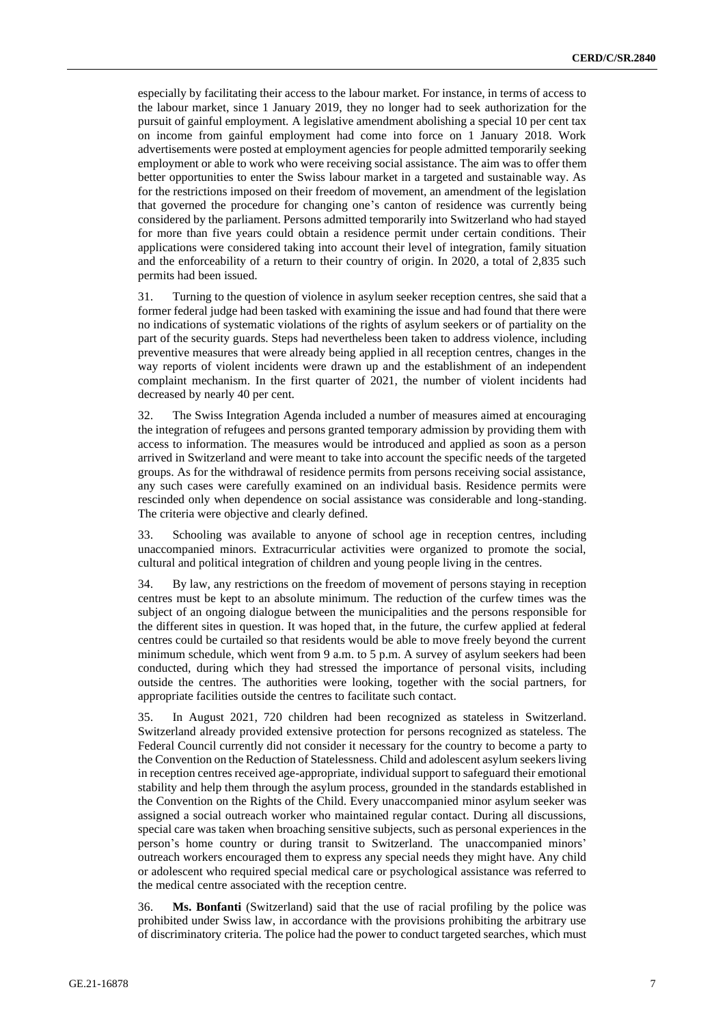especially by facilitating their access to the labour market. For instance, in terms of access to the labour market, since 1 January 2019, they no longer had to seek authorization for the pursuit of gainful employment. A legislative amendment abolishing a special 10 per cent tax on income from gainful employment had come into force on 1 January 2018. Work advertisements were posted at employment agencies for people admitted temporarily seeking employment or able to work who were receiving social assistance. The aim was to offer them better opportunities to enter the Swiss labour market in a targeted and sustainable way. As for the restrictions imposed on their freedom of movement, an amendment of the legislation that governed the procedure for changing one's canton of residence was currently being considered by the parliament. Persons admitted temporarily into Switzerland who had stayed for more than five years could obtain a residence permit under certain conditions. Their applications were considered taking into account their level of integration, family situation and the enforceability of a return to their country of origin. In 2020, a total of 2,835 such permits had been issued.

31. Turning to the question of violence in asylum seeker reception centres, she said that a former federal judge had been tasked with examining the issue and had found that there were no indications of systematic violations of the rights of asylum seekers or of partiality on the part of the security guards. Steps had nevertheless been taken to address violence, including preventive measures that were already being applied in all reception centres, changes in the way reports of violent incidents were drawn up and the establishment of an independent complaint mechanism. In the first quarter of 2021, the number of violent incidents had decreased by nearly 40 per cent.

32. The Swiss Integration Agenda included a number of measures aimed at encouraging the integration of refugees and persons granted temporary admission by providing them with access to information. The measures would be introduced and applied as soon as a person arrived in Switzerland and were meant to take into account the specific needs of the targeted groups. As for the withdrawal of residence permits from persons receiving social assistance, any such cases were carefully examined on an individual basis. Residence permits were rescinded only when dependence on social assistance was considerable and long-standing. The criteria were objective and clearly defined.

33. Schooling was available to anyone of school age in reception centres, including unaccompanied minors. Extracurricular activities were organized to promote the social, cultural and political integration of children and young people living in the centres.

34. By law, any restrictions on the freedom of movement of persons staying in reception centres must be kept to an absolute minimum. The reduction of the curfew times was the subject of an ongoing dialogue between the municipalities and the persons responsible for the different sites in question. It was hoped that, in the future, the curfew applied at federal centres could be curtailed so that residents would be able to move freely beyond the current minimum schedule, which went from 9 a.m. to 5 p.m. A survey of asylum seekers had been conducted, during which they had stressed the importance of personal visits, including outside the centres. The authorities were looking, together with the social partners, for appropriate facilities outside the centres to facilitate such contact.

35. In August 2021, 720 children had been recognized as stateless in Switzerland. Switzerland already provided extensive protection for persons recognized as stateless. The Federal Council currently did not consider it necessary for the country to become a party to the Convention on the Reduction of Statelessness. Child and adolescent asylum seekers living in reception centres received age-appropriate, individual support to safeguard their emotional stability and help them through the asylum process, grounded in the standards established in the Convention on the Rights of the Child. Every unaccompanied minor asylum seeker was assigned a social outreach worker who maintained regular contact. During all discussions, special care was taken when broaching sensitive subjects, such as personal experiences in the person's home country or during transit to Switzerland. The unaccompanied minors' outreach workers encouraged them to express any special needs they might have. Any child or adolescent who required special medical care or psychological assistance was referred to the medical centre associated with the reception centre.

36. **Ms. Bonfanti** (Switzerland) said that the use of racial profiling by the police was prohibited under Swiss law, in accordance with the provisions prohibiting the arbitrary use of discriminatory criteria. The police had the power to conduct targeted searches, which must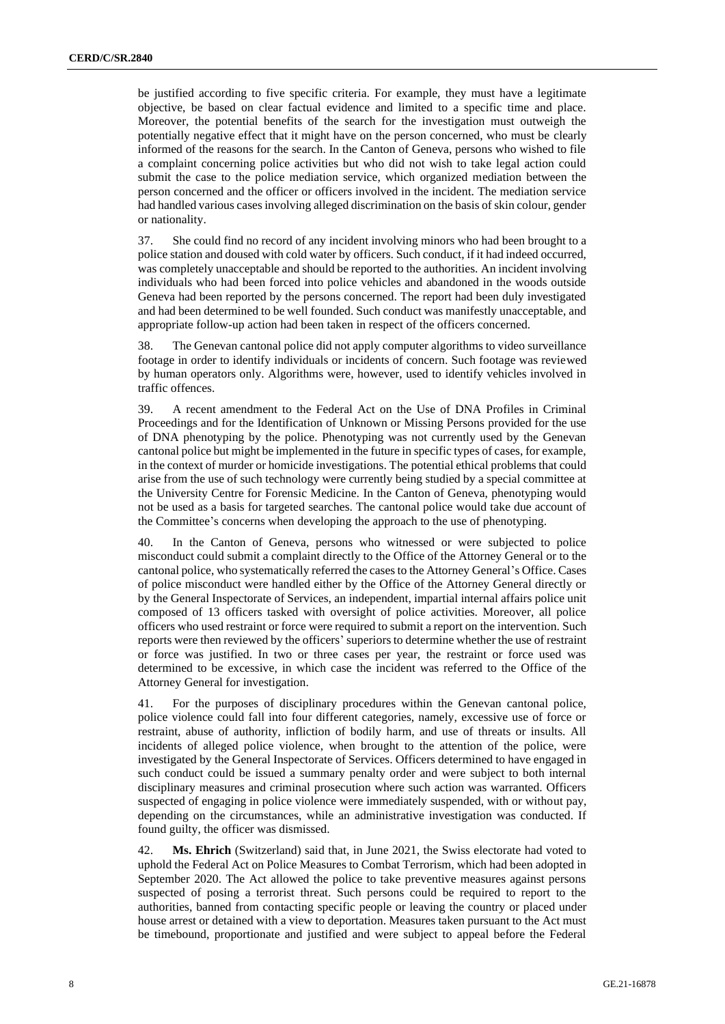be justified according to five specific criteria. For example, they must have a legitimate objective, be based on clear factual evidence and limited to a specific time and place. Moreover, the potential benefits of the search for the investigation must outweigh the potentially negative effect that it might have on the person concerned, who must be clearly informed of the reasons for the search. In the Canton of Geneva, persons who wished to file a complaint concerning police activities but who did not wish to take legal action could submit the case to the police mediation service, which organized mediation between the person concerned and the officer or officers involved in the incident. The mediation service had handled various cases involving alleged discrimination on the basis of skin colour, gender or nationality.

37. She could find no record of any incident involving minors who had been brought to a police station and doused with cold water by officers. Such conduct, if it had indeed occurred, was completely unacceptable and should be reported to the authorities. An incident involving individuals who had been forced into police vehicles and abandoned in the woods outside Geneva had been reported by the persons concerned. The report had been duly investigated and had been determined to be well founded. Such conduct was manifestly unacceptable, and appropriate follow-up action had been taken in respect of the officers concerned.

38. The Genevan cantonal police did not apply computer algorithms to video surveillance footage in order to identify individuals or incidents of concern. Such footage was reviewed by human operators only. Algorithms were, however, used to identify vehicles involved in traffic offences.

39. A recent amendment to the Federal Act on the Use of DNA Profiles in Criminal Proceedings and for the Identification of Unknown or Missing Persons provided for the use of DNA phenotyping by the police. Phenotyping was not currently used by the Genevan cantonal police but might be implemented in the future in specific types of cases, for example, in the context of murder or homicide investigations. The potential ethical problems that could arise from the use of such technology were currently being studied by a special committee at the University Centre for Forensic Medicine. In the Canton of Geneva, phenotyping would not be used as a basis for targeted searches. The cantonal police would take due account of the Committee's concerns when developing the approach to the use of phenotyping.

40. In the Canton of Geneva, persons who witnessed or were subjected to police misconduct could submit a complaint directly to the Office of the Attorney General or to the cantonal police, who systematically referred the cases to the Attorney General's Office. Cases of police misconduct were handled either by the Office of the Attorney General directly or by the General Inspectorate of Services, an independent, impartial internal affairs police unit composed of 13 officers tasked with oversight of police activities. Moreover, all police officers who used restraint or force were required to submit a report on the intervention. Such reports were then reviewed by the officers' superiors to determine whether the use of restraint or force was justified. In two or three cases per year, the restraint or force used was determined to be excessive, in which case the incident was referred to the Office of the Attorney General for investigation.

41. For the purposes of disciplinary procedures within the Genevan cantonal police, police violence could fall into four different categories, namely, excessive use of force or restraint, abuse of authority, infliction of bodily harm, and use of threats or insults. All incidents of alleged police violence, when brought to the attention of the police, were investigated by the General Inspectorate of Services. Officers determined to have engaged in such conduct could be issued a summary penalty order and were subject to both internal disciplinary measures and criminal prosecution where such action was warranted. Officers suspected of engaging in police violence were immediately suspended, with or without pay, depending on the circumstances, while an administrative investigation was conducted. If found guilty, the officer was dismissed.

42. **Ms. Ehrich** (Switzerland) said that, in June 2021, the Swiss electorate had voted to uphold the Federal Act on Police Measures to Combat Terrorism, which had been adopted in September 2020. The Act allowed the police to take preventive measures against persons suspected of posing a terrorist threat. Such persons could be required to report to the authorities, banned from contacting specific people or leaving the country or placed under house arrest or detained with a view to deportation. Measures taken pursuant to the Act must be timebound, proportionate and justified and were subject to appeal before the Federal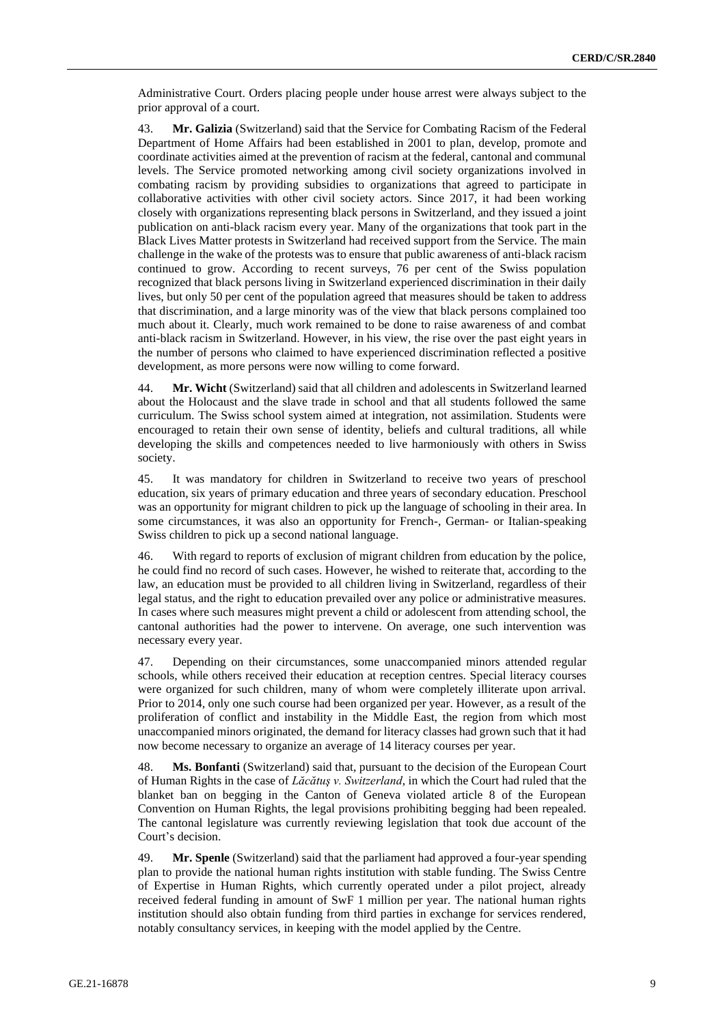Administrative Court. Orders placing people under house arrest were always subject to the prior approval of a court.

43. **Mr. Galizia** (Switzerland) said that the Service for Combating Racism of the Federal Department of Home Affairs had been established in 2001 to plan, develop, promote and coordinate activities aimed at the prevention of racism at the federal, cantonal and communal levels. The Service promoted networking among civil society organizations involved in combating racism by providing subsidies to organizations that agreed to participate in collaborative activities with other civil society actors. Since 2017, it had been working closely with organizations representing black persons in Switzerland, and they issued a joint publication on anti-black racism every year. Many of the organizations that took part in the Black Lives Matter protests in Switzerland had received support from the Service. The main challenge in the wake of the protests was to ensure that public awareness of anti-black racism continued to grow. According to recent surveys, 76 per cent of the Swiss population recognized that black persons living in Switzerland experienced discrimination in their daily lives, but only 50 per cent of the population agreed that measures should be taken to address that discrimination, and a large minority was of the view that black persons complained too much about it. Clearly, much work remained to be done to raise awareness of and combat anti-black racism in Switzerland. However, in his view, the rise over the past eight years in the number of persons who claimed to have experienced discrimination reflected a positive development, as more persons were now willing to come forward.

44. **Mr. Wicht** (Switzerland) said that all children and adolescents in Switzerland learned about the Holocaust and the slave trade in school and that all students followed the same curriculum. The Swiss school system aimed at integration, not assimilation. Students were encouraged to retain their own sense of identity, beliefs and cultural traditions, all while developing the skills and competences needed to live harmoniously with others in Swiss society.

45. It was mandatory for children in Switzerland to receive two years of preschool education, six years of primary education and three years of secondary education. Preschool was an opportunity for migrant children to pick up the language of schooling in their area. In some circumstances, it was also an opportunity for French-, German- or Italian-speaking Swiss children to pick up a second national language.

46. With regard to reports of exclusion of migrant children from education by the police, he could find no record of such cases. However, he wished to reiterate that, according to the law, an education must be provided to all children living in Switzerland, regardless of their legal status, and the right to education prevailed over any police or administrative measures. In cases where such measures might prevent a child or adolescent from attending school, the cantonal authorities had the power to intervene. On average, one such intervention was necessary every year.

47. Depending on their circumstances, some unaccompanied minors attended regular schools, while others received their education at reception centres. Special literacy courses were organized for such children, many of whom were completely illiterate upon arrival. Prior to 2014, only one such course had been organized per year. However, as a result of the proliferation of conflict and instability in the Middle East, the region from which most unaccompanied minors originated, the demand for literacy classes had grown such that it had now become necessary to organize an average of 14 literacy courses per year.

48. **Ms. Bonfanti** (Switzerland) said that, pursuant to the decision of the European Court of Human Rights in the case of *Lăcătuş v. Switzerland*, in which the Court had ruled that the blanket ban on begging in the Canton of Geneva violated article 8 of the European Convention on Human Rights, the legal provisions prohibiting begging had been repealed. The cantonal legislature was currently reviewing legislation that took due account of the Court's decision.

49. **Mr. Spenle** (Switzerland) said that the parliament had approved a four-year spending plan to provide the national human rights institution with stable funding. The Swiss Centre of Expertise in Human Rights, which currently operated under a pilot project, already received federal funding in amount of SwF 1 million per year. The national human rights institution should also obtain funding from third parties in exchange for services rendered, notably consultancy services, in keeping with the model applied by the Centre.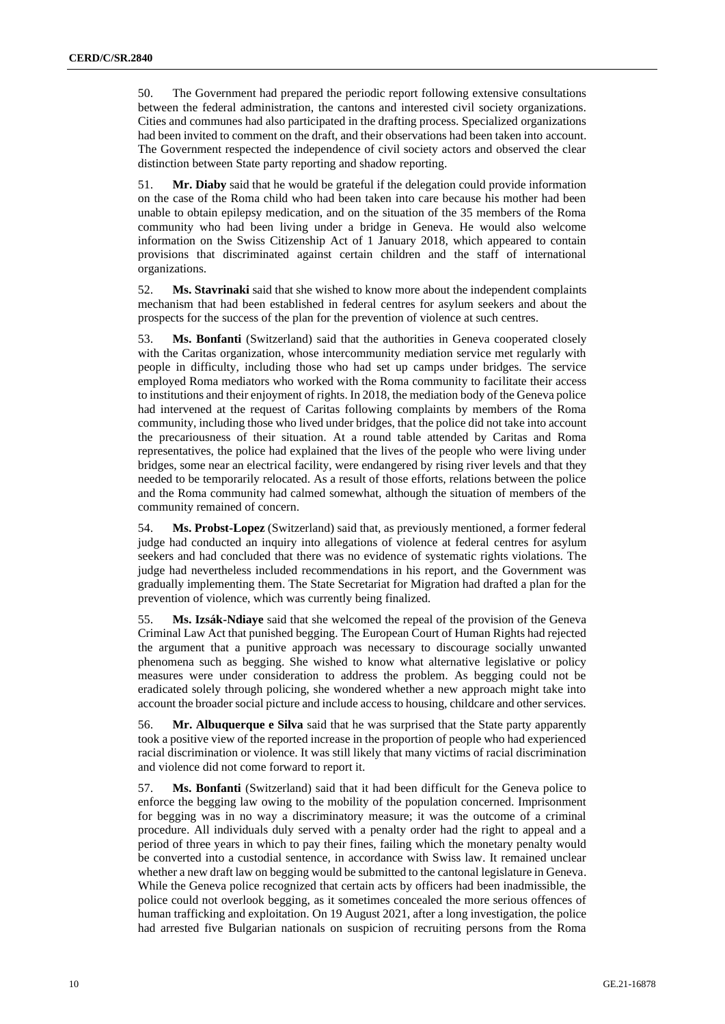50. The Government had prepared the periodic report following extensive consultations between the federal administration, the cantons and interested civil society organizations. Cities and communes had also participated in the drafting process. Specialized organizations had been invited to comment on the draft, and their observations had been taken into account. The Government respected the independence of civil society actors and observed the clear distinction between State party reporting and shadow reporting.

51. **Mr. Diaby** said that he would be grateful if the delegation could provide information on the case of the Roma child who had been taken into care because his mother had been unable to obtain epilepsy medication, and on the situation of the 35 members of the Roma community who had been living under a bridge in Geneva. He would also welcome information on the Swiss Citizenship Act of 1 January 2018, which appeared to contain provisions that discriminated against certain children and the staff of international organizations.

52. **Ms. Stavrinaki** said that she wished to know more about the independent complaints mechanism that had been established in federal centres for asylum seekers and about the prospects for the success of the plan for the prevention of violence at such centres.

53. **Ms. Bonfanti** (Switzerland) said that the authorities in Geneva cooperated closely with the Caritas organization, whose intercommunity mediation service met regularly with people in difficulty, including those who had set up camps under bridges. The service employed Roma mediators who worked with the Roma community to facilitate their access to institutions and their enjoyment of rights. In 2018, the mediation body of the Geneva police had intervened at the request of Caritas following complaints by members of the Roma community, including those who lived under bridges, that the police did not take into account the precariousness of their situation. At a round table attended by Caritas and Roma representatives, the police had explained that the lives of the people who were living under bridges, some near an electrical facility, were endangered by rising river levels and that they needed to be temporarily relocated. As a result of those efforts, relations between the police and the Roma community had calmed somewhat, although the situation of members of the community remained of concern.

54. **Ms. Probst-Lopez** (Switzerland) said that, as previously mentioned, a former federal judge had conducted an inquiry into allegations of violence at federal centres for asylum seekers and had concluded that there was no evidence of systematic rights violations. The judge had nevertheless included recommendations in his report, and the Government was gradually implementing them. The State Secretariat for Migration had drafted a plan for the prevention of violence, which was currently being finalized.

55. **Ms. Izsák-Ndiaye** said that she welcomed the repeal of the provision of the Geneva Criminal Law Act that punished begging. The European Court of Human Rights had rejected the argument that a punitive approach was necessary to discourage socially unwanted phenomena such as begging. She wished to know what alternative legislative or policy measures were under consideration to address the problem. As begging could not be eradicated solely through policing, she wondered whether a new approach might take into account the broader social picture and include access to housing, childcare and other services.

56. **Mr. Albuquerque e Silva** said that he was surprised that the State party apparently took a positive view of the reported increase in the proportion of people who had experienced racial discrimination or violence. It was still likely that many victims of racial discrimination and violence did not come forward to report it.

57. **Ms. Bonfanti** (Switzerland) said that it had been difficult for the Geneva police to enforce the begging law owing to the mobility of the population concerned. Imprisonment for begging was in no way a discriminatory measure; it was the outcome of a criminal procedure. All individuals duly served with a penalty order had the right to appeal and a period of three years in which to pay their fines, failing which the monetary penalty would be converted into a custodial sentence, in accordance with Swiss law. It remained unclear whether a new draft law on begging would be submitted to the cantonal legislature in Geneva. While the Geneva police recognized that certain acts by officers had been inadmissible, the police could not overlook begging, as it sometimes concealed the more serious offences of human trafficking and exploitation. On 19 August 2021, after a long investigation, the police had arrested five Bulgarian nationals on suspicion of recruiting persons from the Roma